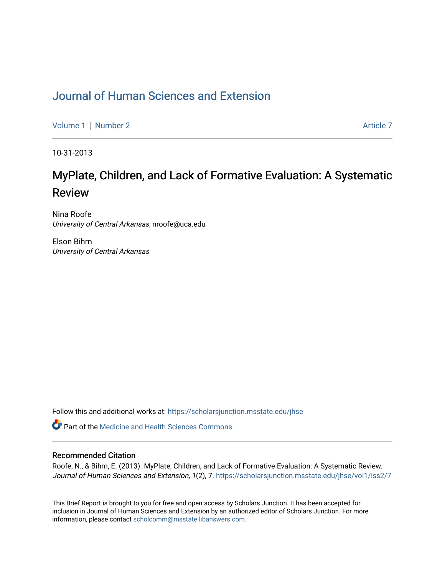## [Journal of Human Sciences and Extension](https://scholarsjunction.msstate.edu/jhse)

[Volume 1](https://scholarsjunction.msstate.edu/jhse/vol1) | [Number 2](https://scholarsjunction.msstate.edu/jhse/vol1/iss2) Article 7

10-31-2013

# MyPlate, Children, and Lack of Formative Evaluation: A Systematic Review

Nina Roofe University of Central Arkansas, nroofe@uca.edu

Elson Bihm University of Central Arkansas

Follow this and additional works at: [https://scholarsjunction.msstate.edu/jhse](https://scholarsjunction.msstate.edu/jhse?utm_source=scholarsjunction.msstate.edu%2Fjhse%2Fvol1%2Fiss2%2F7&utm_medium=PDF&utm_campaign=PDFCoverPages)

Part of the [Medicine and Health Sciences Commons](http://network.bepress.com/hgg/discipline/648?utm_source=scholarsjunction.msstate.edu%2Fjhse%2Fvol1%2Fiss2%2F7&utm_medium=PDF&utm_campaign=PDFCoverPages) 

#### Recommended Citation

Roofe, N., & Bihm, E. (2013). MyPlate, Children, and Lack of Formative Evaluation: A Systematic Review. Journal of Human Sciences and Extension, 1(2), 7. https://scholarsjunction.msstate.edu/jhse/vol1/iss2/7

This Brief Report is brought to you for free and open access by Scholars Junction. It has been accepted for inclusion in Journal of Human Sciences and Extension by an authorized editor of Scholars Junction. For more information, please contact [scholcomm@msstate.libanswers.com](mailto:scholcomm@msstate.libanswers.com).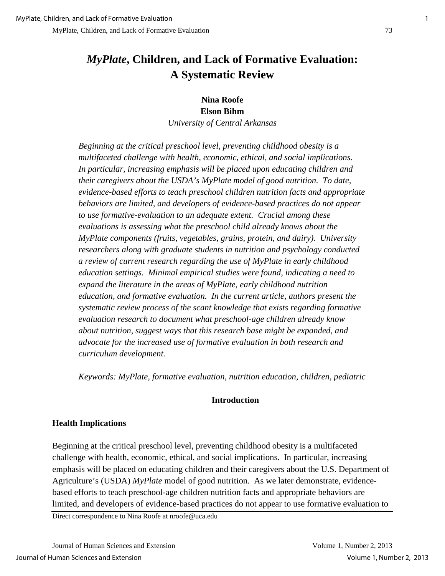## *MyPlate***, Children, and Lack of Formative Evaluation: A Systematic Review**

**Nina Roofe Elson Bihm** *University of Central Arkansas* 

*Beginning at the critical preschool level, preventing childhood obesity is a multifaceted challenge with health, economic, ethical, and social implications. In particular, increasing emphasis will be placed upon educating children and their caregivers about the USDA's MyPlate model of good nutrition. To date, evidence-based efforts to teach preschool children nutrition facts and appropriate behaviors are limited, and developers of evidence-based practices do not appear to use formative-evaluation to an adequate extent. Crucial among these evaluations is assessing what the preschool child already knows about the MyPlate components (fruits, vegetables, grains, protein, and dairy). University researchers along with graduate students in nutrition and psychology conducted a review of current research regarding the use of MyPlate in early childhood education settings. Minimal empirical studies were found, indicating a need to expand the literature in the areas of MyPlate, early childhood nutrition education, and formative evaluation. In the current article, authors present the systematic review process of the scant knowledge that exists regarding formative evaluation research to document what preschool-age children already know about nutrition, suggest ways that this research base might be expanded, and advocate for the increased use of formative evaluation in both research and curriculum development.* 

*Keywords: MyPlate, formative evaluation, nutrition education, children, pediatric*

#### **Introduction**

## **Health Implications**

Beginning at the critical preschool level, preventing childhood obesity is a multifaceted challenge with health, economic, ethical, and social implications. In particular, increasing emphasis will be placed on educating children and their caregivers about the U.S. Department of Agriculture's (USDA) *MyPlate* model of good nutrition. As we later demonstrate, evidencebased efforts to teach preschool-age children nutrition facts and appropriate behaviors are limited, and developers of evidence-based practices do not appear to use formative evaluation to

Direct correspondence to Nina Roofe at nroofe@uca.edu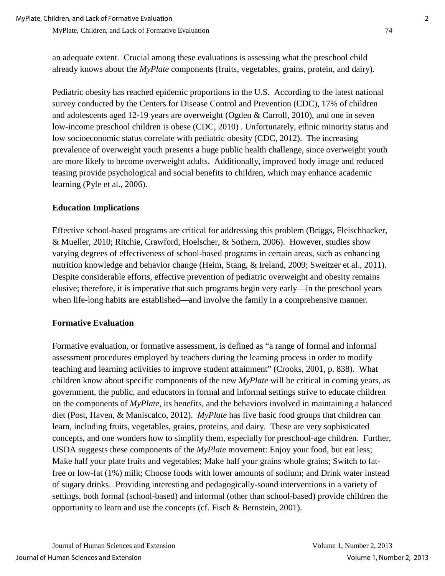an adequate extent. Crucial among these evaluations is assessing what the preschool child already knows about the *MyPlate* components (fruits, vegetables, grains, protein, and dairy).

Pediatric obesity has reached epidemic proportions in the U.S. According to the latest national survey conducted by the Centers for Disease Control and Prevention (CDC), 17% of children and adolescents aged 12-19 years are overweight (Ogden & Carroll, 2010), and one in seven low-income preschool children is obese (CDC, 2010) . Unfortunately, ethnic minority status and low socioeconomic status correlate with pediatric obesity (CDC, 2012). The increasing prevalence of overweight youth presents a huge public health challenge, since overweight youth are more likely to become overweight adults. Additionally, improved body image and reduced teasing provide psychological and social benefits to children, which may enhance academic learning (Pyle et al., 2006).

## **Education Implications**

Effective school-based programs are critical for addressing this problem (Briggs, Fleischhacker, & Mueller, 2010; Ritchie, Crawford, Hoelscher, & Sothern, 2006). However, studies show varying degrees of effectiveness of school-based programs in certain areas, such as enhancing nutrition knowledge and behavior change (Heim, Stang, & Ireland, 2009; Sweitzer et al., 2011). Despite considerable efforts, effective prevention of pediatric overweight and obesity remains elusive; therefore, it is imperative that such programs begin very early—in the preschool years when life-long habits are established—and involve the family in a comprehensive manner.

#### **Formative Evaluation**

Formative evaluation, or formative assessment, is defined as "a range of formal and informal assessment procedures employed by teachers during the learning process in order to modify teaching and learning activities to improve student attainment" (Crooks, 2001, p. 838). What children know about specific components of the new *MyPlate* will be critical in coming years, as government, the public, and educators in formal and informal settings strive to educate children on the components of *MyPlate*, its benefits, and the behaviors involved in maintaining a balanced diet (Post, Haven, & Maniscalco, 2012). *MyPlate* has five basic food groups that children can learn, including fruits, vegetables, grains, proteins, and dairy. These are very sophisticated concepts, and one wonders how to simplify them, especially for preschool-age children. Further, USDA suggests these components of the *MyPlate* movement: Enjoy your food, but eat less; Make half your plate fruits and vegetables; Make half your grains whole grains; Switch to fatfree or low-fat (1%) milk; Choose foods with lower amounts of sodium; and Drink water instead of sugary drinks. Providing interesting and pedagogically-sound interventions in a variety of settings, both formal (school-based) and informal (other than school-based) provide children the opportunity to learn and use the concepts (cf. Fisch & Bernstein, 2001).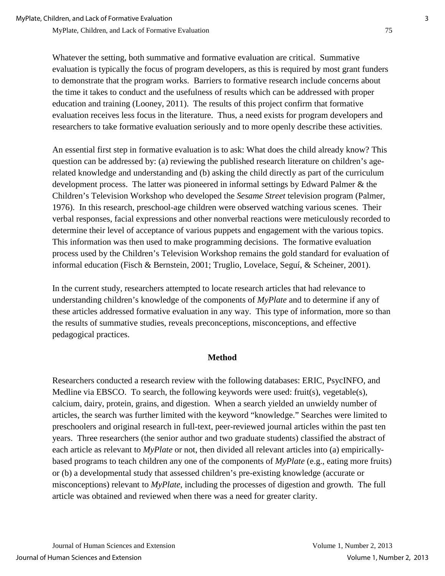Whatever the setting, both summative and formative evaluation are critical. Summative evaluation is typically the focus of program developers, as this is required by most grant funders to demonstrate that the program works. Barriers to formative research include concerns about the time it takes to conduct and the usefulness of results which can be addressed with proper education and training (Looney, 2011). The results of this project confirm that formative evaluation receives less focus in the literature. Thus, a need exists for program developers and researchers to take formative evaluation seriously and to more openly describe these activities.

An essential first step in formative evaluation is to ask: What does the child already know? This question can be addressed by: (a) reviewing the published research literature on children's agerelated knowledge and understanding and (b) asking the child directly as part of the curriculum development process. The latter was pioneered in informal settings by Edward Palmer & the Children's Television Workshop who developed the *Sesame Street* television program (Palmer, 1976). In this research, preschool-age children were observed watching various scenes. Their verbal responses, facial expressions and other nonverbal reactions were meticulously recorded to determine their level of acceptance of various puppets and engagement with the various topics. This information was then used to make programming decisions. The formative evaluation process used by the Children's Television Workshop remains the gold standard for evaluation of informal education (Fisch & Bernstein, 2001; Truglio, Lovelace, Seguí, & Scheiner, 2001).

In the current study, researchers attempted to locate research articles that had relevance to understanding children's knowledge of the components of *MyPlate* and to determine if any of these articles addressed formative evaluation in any way. This type of information, more so than the results of summative studies, reveals preconceptions, misconceptions, and effective pedagogical practices.

#### **Method**

Researchers conducted a research review with the following databases: ERIC, PsycINFO, and Medline via EBSCO. To search, the following keywords were used: fruit(s), vegetable(s), calcium, dairy, protein, grains, and digestion. When a search yielded an unwieldy number of articles, the search was further limited with the keyword "knowledge." Searches were limited to preschoolers and original research in full-text, peer-reviewed journal articles within the past ten years. Three researchers (the senior author and two graduate students) classified the abstract of each article as relevant to *MyPlate* or not, then divided all relevant articles into (a) empiricallybased programs to teach children any one of the components of *MyPlate* (e.g., eating more fruits) or (b) a developmental study that assessed children's pre-existing knowledge (accurate or misconceptions) relevant to *MyPlate*, including the processes of digestion and growth. The full article was obtained and reviewed when there was a need for greater clarity.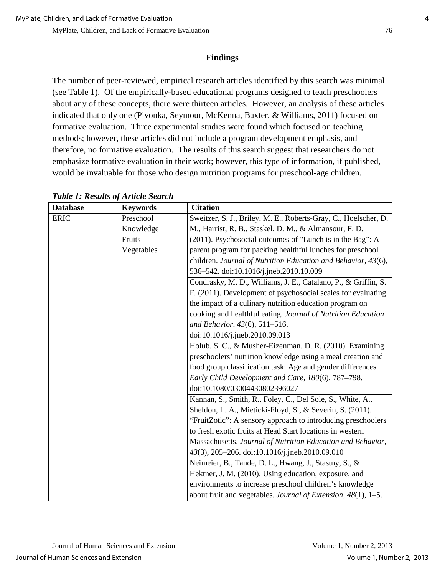## **Findings**

The number of peer-reviewed, empirical research articles identified by this search was minimal (see Table 1). Of the empirically-based educational programs designed to teach preschoolers about any of these concepts, there were thirteen articles. However, an analysis of these articles indicated that only one (Pivonka, Seymour, McKenna, Baxter, & Williams, 2011) focused on formative evaluation. Three experimental studies were found which focused on teaching methods; however, these articles did not include a program development emphasis, and therefore, no formative evaluation. The results of this search suggest that researchers do not emphasize formative evaluation in their work; however, this type of information, if published, would be invaluable for those who design nutrition programs for preschool-age children.

| <b>Database</b> | <b>Keywords</b> | <b>Citation</b>                                                 |
|-----------------|-----------------|-----------------------------------------------------------------|
| <b>ERIC</b>     | Preschool       | Sweitzer, S. J., Briley, M. E., Roberts-Gray, C., Hoelscher, D. |
|                 | Knowledge       | M., Harrist, R. B., Staskel, D. M., & Almansour, F. D.          |
|                 | Fruits          | (2011). Psychosocial outcomes of "Lunch is in the Bag": A       |
|                 | Vegetables      | parent program for packing healthful lunches for preschool      |
|                 |                 | children. Journal of Nutrition Education and Behavior, 43(6),   |
|                 |                 | 536-542. doi:10.1016/j.jneb.2010.10.009                         |
|                 |                 | Condrasky, M. D., Williams, J. E., Catalano, P., & Griffin, S.  |
|                 |                 | F. (2011). Development of psychosocial scales for evaluating    |
|                 |                 | the impact of a culinary nutrition education program on         |
|                 |                 | cooking and healthful eating. Journal of Nutrition Education    |
|                 |                 | and Behavior, 43(6), 511-516.                                   |
|                 |                 | doi:10.1016/j.jneb.2010.09.013                                  |
|                 |                 | Holub, S. C., & Musher-Eizenman, D. R. (2010). Examining        |
|                 |                 | preschoolers' nutrition knowledge using a meal creation and     |
|                 |                 | food group classification task: Age and gender differences.     |
|                 |                 | Early Child Development and Care, 180(6), 787-798.              |
|                 |                 | doi:10.1080/03004430802396027                                   |
|                 |                 | Kannan, S., Smith, R., Foley, C., Del Sole, S., White, A.,      |
|                 |                 | Sheldon, L. A., Mieticki-Floyd, S., & Severin, S. (2011).       |
|                 |                 | "FruitZotic": A sensory approach to introducing preschoolers    |
|                 |                 | to fresh exotic fruits at Head Start locations in western       |
|                 |                 | Massachusetts. Journal of Nutrition Education and Behavior,     |
|                 |                 | 43(3), 205-206. doi:10.1016/j.jneb.2010.09.010                  |
|                 |                 | Neimeier, B., Tande, D. L., Hwang, J., Stastny, S., &           |
|                 |                 | Hektner, J. M. (2010). Using education, exposure, and           |
|                 |                 | environments to increase preschool children's knowledge         |
|                 |                 | about fruit and vegetables. Journal of Extension, 48(1), 1-5.   |

*Table 1: Results of Article Search*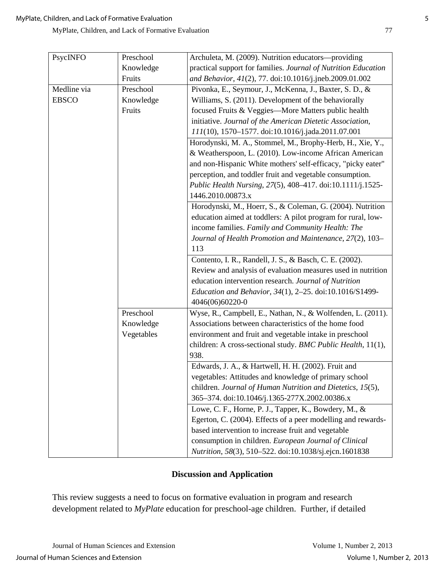| PsycINFO     | Preschool  | Archuleta, M. (2009). Nutrition educators-providing            |
|--------------|------------|----------------------------------------------------------------|
|              | Knowledge  | practical support for families. Journal of Nutrition Education |
|              | Fruits     | and Behavior, 41(2), 77. doi:10.1016/j.jneb.2009.01.002        |
| Medline via  | Preschool  | Pivonka, E., Seymour, J., McKenna, J., Baxter, S. D., &        |
| <b>EBSCO</b> | Knowledge  | Williams, S. (2011). Development of the behaviorally           |
|              | Fruits     | focused Fruits & Veggies-More Matters public health            |
|              |            | initiative. Journal of the American Dietetic Association,      |
|              |            | 111(10), 1570-1577. doi:10.1016/j.jada.2011.07.001             |
|              |            | Horodynski, M. A., Stommel, M., Brophy-Herb, H., Xie, Y.,      |
|              |            | & Weatherspoon, L. (2010). Low-income African American         |
|              |            |                                                                |
|              |            | and non-Hispanic White mothers' self-efficacy, "picky eater"   |
|              |            | perception, and toddler fruit and vegetable consumption.       |
|              |            | Public Health Nursing, 27(5), 408-417. doi:10.1111/j.1525-     |
|              |            | 1446.2010.00873.x                                              |
|              |            | Horodynski, M., Hoerr, S., & Coleman, G. (2004). Nutrition     |
|              |            | education aimed at toddlers: A pilot program for rural, low-   |
|              |            | income families. Family and Community Health: The              |
|              |            | Journal of Health Promotion and Maintenance, 27(2), 103-       |
|              |            | 113                                                            |
|              |            | Contento, I. R., Randell, J. S., & Basch, C. E. (2002).        |
|              |            | Review and analysis of evaluation measures used in nutrition   |
|              |            | education intervention research. Journal of Nutrition          |
|              |            | Education and Behavior, 34(1), 2-25. doi:10.1016/S1499-        |
|              |            | 4046(06)60220-0                                                |
|              | Preschool  | Wyse, R., Campbell, E., Nathan, N., & Wolfenden, L. (2011).    |
|              | Knowledge  | Associations between characteristics of the home food          |
|              | Vegetables | environment and fruit and vegetable intake in preschool        |
|              |            | children: A cross-sectional study. BMC Public Health, 11(1),   |
|              |            | 938.                                                           |
|              |            | Edwards, J. A., & Hartwell, H. H. (2002). Fruit and            |
|              |            | vegetables: Attitudes and knowledge of primary school          |
|              |            | children. Journal of Human Nutrition and Dietetics, 15(5),     |
|              |            | 365-374. doi:10.1046/j.1365-277X.2002.00386.x                  |
|              |            | Lowe, C. F., Horne, P. J., Tapper, K., Bowdery, M., &          |
|              |            | Egerton, C. (2004). Effects of a peer modelling and rewards-   |
|              |            | based intervention to increase fruit and vegetable             |
|              |            | consumption in children. European Journal of Clinical          |
|              |            | Nutrition, 58(3), 510-522. doi:10.1038/sj.ejcn.1601838         |

### **Discussion and Application**

This review suggests a need to focus on formative evaluation in program and research development related to *MyPlate* education for preschool-age children. Further, if detailed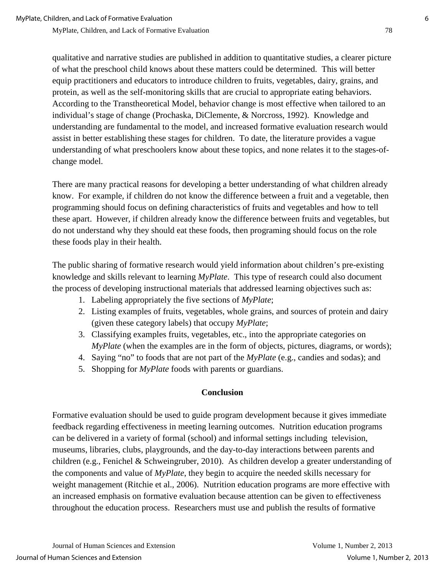qualitative and narrative studies are published in addition to quantitative studies, a clearer picture of what the preschool child knows about these matters could be determined. This will better equip practitioners and educators to introduce children to fruits, vegetables, dairy, grains, and protein, as well as the self-monitoring skills that are crucial to appropriate eating behaviors. According to the Transtheoretical Model, behavior change is most effective when tailored to an individual's stage of change (Prochaska, DiClemente, & Norcross, 1992). Knowledge and understanding are fundamental to the model, and increased formative evaluation research would assist in better establishing these stages for children. To date, the literature provides a vague understanding of what preschoolers know about these topics, and none relates it to the stages-ofchange model.

There are many practical reasons for developing a better understanding of what children already know. For example, if children do not know the difference between a fruit and a vegetable, then programming should focus on defining characteristics of fruits and vegetables and how to tell these apart. However, if children already know the difference between fruits and vegetables, but do not understand why they should eat these foods, then programing should focus on the role these foods play in their health.

The public sharing of formative research would yield information about children's pre-existing knowledge and skills relevant to learning *MyPlate*. This type of research could also document the process of developing instructional materials that addressed learning objectives such as:

- 1. Labeling appropriately the five sections of *MyPlate*;
- 2. Listing examples of fruits, vegetables, whole grains, and sources of protein and dairy (given these category labels) that occupy *MyPlate*;
- 3. Classifying examples fruits, vegetables, etc., into the appropriate categories on *MyPlate* (when the examples are in the form of objects, pictures, diagrams, or words);
- 4. Saying "no" to foods that are not part of the *MyPlate* (e.g., candies and sodas); and
- 5. Shopping for *MyPlate* foods with parents or guardians.

#### **Conclusion**

Formative evaluation should be used to guide program development because it gives immediate feedback regarding effectiveness in meeting learning outcomes. Nutrition education programs can be delivered in a variety of formal (school) and informal settings including television, museums, libraries, clubs, playgrounds, and the day-to-day interactions between parents and children (e.g., Fenichel & Schweingruber, 2010). As children develop a greater understanding of the components and value of *MyPlate*, they begin to acquire the needed skills necessary for weight management (Ritchie et al., 2006). Nutrition education programs are more effective with an increased emphasis on formative evaluation because attention can be given to effectiveness throughout the education process. Researchers must use and publish the results of formative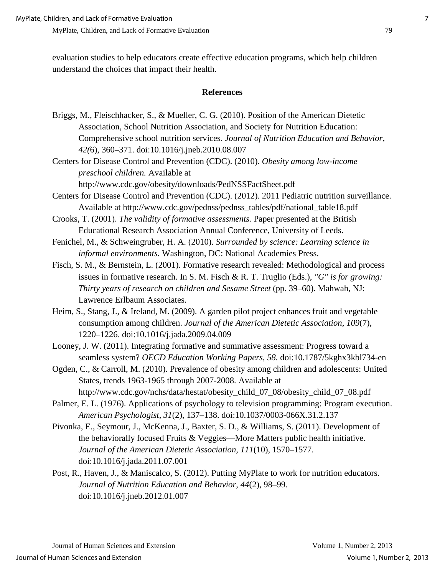MyPlate, Children, and Lack of Formative Evaluation 79

evaluation studies to help educators create effective education programs, which help children understand the choices that impact their health.

#### **References**

Briggs, M., Fleischhacker, S., & Mueller, C. G. (2010). Position of the American Dietetic Association, School Nutrition Association, and Society for Nutrition Education: Comprehensive school nutrition services. *Journal of Nutrition Education and Behavior, 42(*6), 360–371. doi:10.1016/j.jneb.2010.08.007

Centers for Disease Control and Prevention (CDC). (2010). *Obesity among low-income preschool children.* Available at

http://www.cdc.gov/obesity/downloads/PedNSSFactSheet.pdf

Centers for Disease Control and Prevention (CDC). (2012). 2011 Pediatric nutrition surveillance. Available at http://www.cdc.gov/pednss/pednss\_tables/pdf/national\_table18.pdf

Crooks, T. (2001). *The validity of formative assessments.* Paper presented at the British Educational Research Association Annual Conference, University of Leeds.

- Fenichel, M., & Schweingruber, H. A. (2010). *Surrounded by science: Learning science in informal environments.* Washington, DC: National Academies Press.
- Fisch, S. M., & Bernstein, L. (2001). Formative research revealed: Methodological and process issues in formative research. In S. M. Fisch & R. T. Truglio (Eds.), *"G" is for growing: Thirty years of research on children and Sesame Street* (pp. 39–60). Mahwah, NJ: Lawrence Erlbaum Associates.
- Heim, S., Stang, J., & Ireland, M. (2009). A garden pilot project enhances fruit and vegetable consumption among children. *Journal of the American Dietetic Association, 109*(7), 1220–1226. doi:10.1016/j.jada.2009.04.009
- Looney, J. W. (2011). Integrating formative and summative assessment: Progress toward a seamless system? *OECD Education Working Papers, 58.* doi:10.1787/5kghx3kbl734-en
- Ogden, C., & Carroll, M. (2010). Prevalence of obesity among children and adolescents: United States, trends 1963-1965 through 2007-2008. Available at

http://www.cdc.gov/nchs/data/hestat/obesity\_child\_07\_08/obesity\_child\_07\_08.pdf

- Palmer, E. L. (1976). Applications of psychology to television programming: Program execution. *American Psychologist, 31*(2), 137–138. doi:10.1037/0003-066X.31.2.137
- Pivonka, E., Seymour, J., McKenna, J., Baxter, S. D., & Williams, S. (2011). Development of the behaviorally focused Fruits & Veggies—More Matters public health initiative. *Journal of the American Dietetic Association, 111*(10), 1570–1577. doi:10.1016/j.jada.2011.07.001
- Post, R., Haven, J., & Maniscalco, S. (2012). Putting MyPlate to work for nutrition educators. *Journal of Nutrition Education and Behavior, 44*(2), 98–99. doi:10.1016/j.jneb.2012.01.007